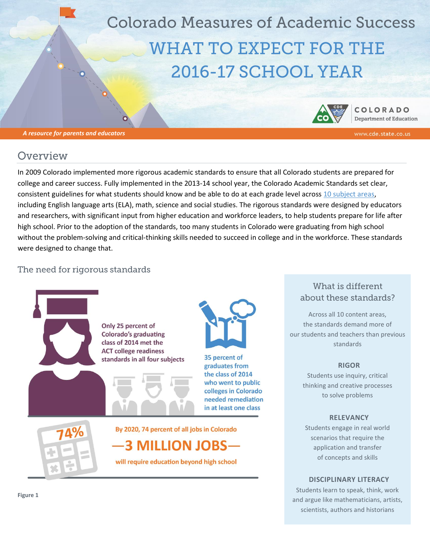**Colorado Measures of Academic Success WHAT TO EXPECT FOR THE** 2016-17 SCHOOL YEAR

**COLORADO Department of Education** 

## Overview

*A resource for parents and educators*

In 2009 Colorado implemented more rigorous academic standards to ensure that all Colorado students are prepared for college and career success. Fully implemented in the 2013-14 school year, the Colorado Academic Standards set clear, consistent guidelines for what students should know and be able to do at each grade level acros[s 10 subject areas,](https://www.cde.state.co.us/contentareas) including English language arts (ELA), math, science and social studies. The rigorous standards were designed by educators and researchers, with significant input from higher education and workforce leaders, to help students prepare for life after high school. Prior to the adoption of the standards, too many students in Colorado were graduating from high school without the problem-solving and critical-thinking skills needed to succeed in college and in the workforce. These standards were designed to change that.

#### The need for rigorous standards



#### What is different about these standards?

Across all 10 content areas, the standards demand more of our students and teachers than previous standards

#### **RIGOR**

Students use inquiry, critical thinking and creative processes to solve problems

#### **RELEVANCY**

Students engage in real world scenarios that require the application and transfer of concepts and skills

#### **DISCIPLINARY LITERACY**

Students learn to speak, think, work and argue like mathematicians, artists, scientists, authors and historians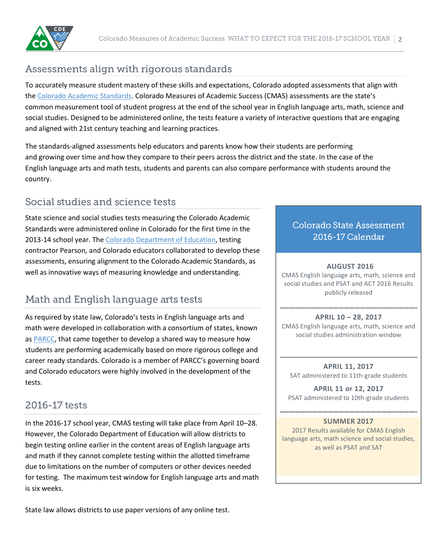

# Assessments align with rigorous standards

To accurately measure student mastery of these skills and expectations, Colorado adopted assessments that align with the [Colorado Academic Standards.](https://www.cde.state.co.us/standardsandinstruction/guidestostandards) Colorado Measures of Academic Success (CMAS) assessments are the state's common measurement tool of student progress at the end of the school year in English language arts, math, science and social studies. Designed to be administered online, the tests feature a variety of interactive questions that are engaging and aligned with 21st century teaching and learning practices.

The standards-aligned assessments help educators and parents know how their students are performing and growing over time and how they compare to their peers across the district and the state. In the case of the English language arts and math tests, students and parents can also compare performance with students around the country.

# Social studies and science tests

State science and social studies tests measuring the Colorado Academic Standards were administered online in Colorado for the first time in the 2013-14 school year. Th[e Colorado Department of Education,](https://www.cde.state.co.us/) testing contractor Pearson, and Colorado educators collaborated to develop these assessments, ensuring alignment to the Colorado Academic Standards, as well as innovative ways of measuring knowledge and understanding.

# Math and English language arts tests

As required by state law, Colorado's tests in English language arts and math were developed in collaboration with a consortium of states, known as [PARCC,](https://www.cde.state.co.us/assessment/newassess-parcc) that came together to develop a shared way to measure how students are performing academically based on more rigorous college and career ready standards. Colorado is a member of PARCC's governing board and Colorado educators were highly involved in the development of the tests.

## 2016-17 tests

In the 2016-17 school year, CMAS testing will take place from April 10–28. However, the Colorado Department of Education will allow districts to begin testing online earlier in the content areas of English language arts and math if they cannot complete testing within the allotted timeframe due to limitations on the number of computers or other devices needed for testing. The maximum test window for English language arts and math is six weeks.

State law allows districts to use paper versions of any online test.

## **Colorado State Assessment** 2016-17 Calendar

#### **AUGUST 2016**

CMAS English language arts, math, science and social studies and PSAT and ACT 2016 Results publicly released

**APRIL 10 – 28, 2017** CMAS English language arts, math, science and social studies administration window

**APRIL 11, 2017** SAT administered to 11th-grade students

**APRIL 11 or 12, 2017** PSAT administered to 10th-grade students

#### **SUMMER 2017**

2017 Results available for CMAS English language arts, math science and social studies, as well as PSAT and SAT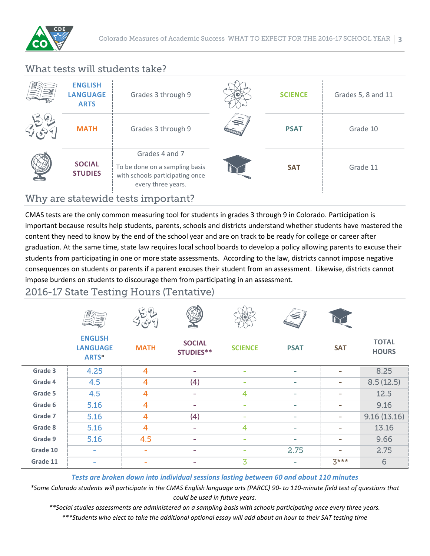

## What tests will students take?

| <b>ENGLISH</b><br><b>LANGUAGE</b><br><b>ARTS</b> | Grades 3 through 9                                                                                              |   | <b>SCIENCE</b> | Grades 5, 8 and 11 |
|--------------------------------------------------|-----------------------------------------------------------------------------------------------------------------|---|----------------|--------------------|
| <b>MATH</b>                                      | Grades 3 through 9                                                                                              | 偏 | <b>PSAT</b>    | Grade 10           |
| <b>SOCIAL</b><br><b>STUDIES</b>                  | Grades 4 and 7<br>To be done on a sampling basis<br>with schools participating once<br>every three years.       |   | <b>SAT</b>     | Grade 11           |
| . .                                              | the contract of the contract of the contract of the contract of the contract of the contract of the contract of |   |                |                    |

## Why are statewide tests important?

CMAS tests are the only common measuring tool for students in grades 3 through 9 in Colorado. Participation is important because results help students, parents, schools and districts understand whether students have mastered the content they need to know by the end of the school year and are on track to be ready for college or career after graduation. At the same time, state law requires local school boards to develop a policy allowing parents to excuse their students from participating in one or more state assessments. According to the law, districts cannot impose negative consequences on students or parents if a parent excuses their student from an assessment. Likewise, districts cannot impose burdens on students to discourage them from participating in an assessment.

### 2016-17 State Testing Hours (Tentative)

|          |                                            | $\left( r\right)$<br>i e.<br>Þ |                                   |                | W)                       |                          |                              |
|----------|--------------------------------------------|--------------------------------|-----------------------------------|----------------|--------------------------|--------------------------|------------------------------|
|          | <b>ENGLISH</b><br><b>LANGUAGE</b><br>ARTS* | <b>MATH</b>                    | <b>SOCIAL</b><br><b>STUDIES**</b> | <b>SCIENCE</b> | <b>PSAT</b>              | <b>SAT</b>               | <b>TOTAL</b><br><b>HOURS</b> |
| Grade 3  | 4.25                                       | $\overline{4}$                 | $\overline{\phantom{a}}$          |                | $\overline{\phantom{a}}$ |                          | 8.25                         |
| Grade 4  | 4.5                                        | 4                              | (4)                               | ٠              | ٠                        | $\overline{\phantom{a}}$ | 8.5(12.5)                    |
| Grade 5  | 4.5                                        | 4                              | ٠                                 | 4              | ۰                        | $\overline{\phantom{0}}$ | 12.5                         |
| Grade 6  | 5.16                                       | $\overline{4}$                 | $\overline{\phantom{a}}$          | ٠              | ٠                        | $\overline{\phantom{0}}$ | 9.16                         |
| Grade 7  | 5.16                                       | $\overline{4}$                 | (4)                               |                | ٠                        |                          | 9.16(13.16)                  |
| Grade 8  | 5.16                                       | $\overline{4}$                 | ۰                                 | $\overline{4}$ | ٠                        | ۰                        | 13.16                        |
| Grade 9  | 5.16                                       | 4.5                            | -                                 |                | ٠                        |                          | 9.66                         |
| Grade 10 | $\sim$                                     | $\equiv$                       | -                                 |                | 2.75                     | $\overline{\phantom{0}}$ | 2.75                         |
| Grade 11 | ۰                                          |                                |                                   | 3              | $\sim$                   | $3***$                   | 6                            |

*Tests are broken down into individual sessions lasting between 60 and about 110 minutes*

*\*Some Colorado students will participate in the CMAS English language arts (PARCC) 90- to 110-minute field test of questions that could be used in future years.*

*\*\*Social studies assessments are administered on a sampling basis with schools participating once every three years.*

*\*\*\*Students who elect to take the additional optional essay will add about an hour to their SAT testing time*